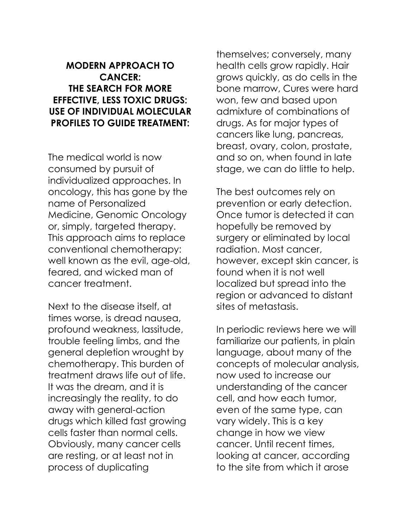## **MODERN APPROACH TO CANCER: THE SEARCH FOR MORE EFFECTIVE, LESS TOXIC DRUGS: USE OF INDIVIDUAL MOLECULAR PROFILES TO GUIDE TREATMENT:**

The medical world is now consumed by pursuit of individualized approaches. In oncology, this has gone by the name of Personalized Medicine, Genomic Oncology or, simply, targeted therapy. This approach aims to replace conventional chemotherapy: well known as the evil, age-old, feared, and wicked man of cancer treatment.

Next to the disease itself, at times worse, is dread nausea, profound weakness, lassitude, trouble feeling limbs, and the general depletion wrought by chemotherapy. This burden of treatment draws life out of life. It was the dream, and it is increasingly the reality, to do away with general-action drugs which killed fast growing cells faster than normal cells. Obviously, many cancer cells are resting, or at least not in process of duplicating

themselves; conversely, many health cells grow rapidly. Hair grows quickly, as do cells in the bone marrow, Cures were hard won, few and based upon admixture of combinations of drugs. As for major types of cancers like lung, pancreas, breast, ovary, colon, prostate, and so on, when found in late stage, we can do little to help.

The best outcomes rely on prevention or early detection. Once tumor is detected it can hopefully be removed by surgery or eliminated by local radiation. Most cancer, however, except skin cancer, is found when it is not well localized but spread into the region or advanced to distant sites of metastasis.

In periodic reviews here we will familiarize our patients, in plain language, about many of the concepts of molecular analysis, now used to increase our understanding of the cancer cell, and how each tumor, even of the same type, can vary widely. This is a key change in how we view cancer. Until recent times, looking at cancer, according to the site from which it arose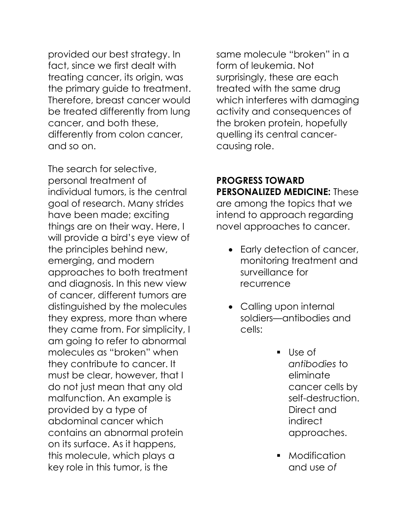provided our best strategy. In fact, since we first dealt with treating cancer, its origin, was the primary guide to treatment. Therefore, breast cancer would be treated differently from lung cancer, and both these, differently from colon cancer, and so on.

The search for selective, personal treatment of individual tumors, is the central goal of research. Many strides have been made; exciting things are on their way. Here, I will provide a bird's eye view of the principles behind new, emerging, and modern approaches to both treatment and diagnosis. In this new view of cancer, different tumors are distinguished by the molecules they express, more than where they came from. For simplicity, I am going to refer to abnormal molecules as "broken" when they contribute to cancer. It must be clear, however, that I do not just mean that any old malfunction. An example is provided by a type of abdominal cancer which contains an abnormal protein on its surface. As it happens, this molecule, which plays a key role in this tumor, is the

same molecule "broken" in a form of leukemia. Not surprisingly, these are each treated with the same drug which interferes with damaging activity and consequences of the broken protein, hopefully quelling its central cancercausing role.

## **PROGRESS TOWARD PERSONALIZED MEDICINE:** These are among the topics that we intend to approach regarding

novel approaches to cancer.

- Early detection of cancer, monitoring treatment and surveillance for recurrence
- Calling upon internal soldiers—antibodies and cells:
	- Use of *antibodies* to eliminate cancer cells by self-destruction. Direct and indirect approaches.
	- Modification and use *of*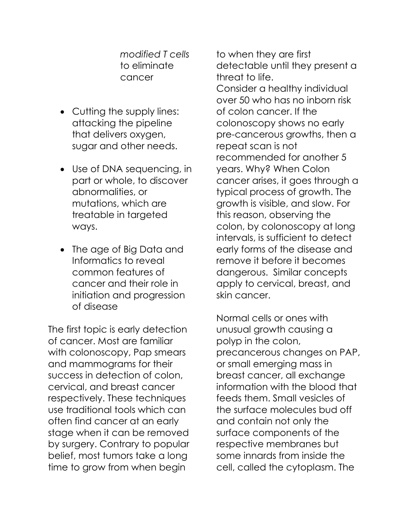*modified T cells* to eliminate cancer

- Cutting the supply lines: attacking the pipeline that delivers oxygen, sugar and other needs.
- Use of DNA sequencing, in part or whole, to discover abnormalities, or mutations, which are treatable in targeted ways.
- The age of Big Data and Informatics to reveal common features of cancer and their role in initiation and progression of disease

The first topic is early detection of cancer. Most are familiar with colonoscopy, Pap smears and mammograms for their success in detection of colon, cervical, and breast cancer respectively. These techniques use traditional tools which can often find cancer at an early stage when it can be removed by surgery. Contrary to popular belief, most tumors take a long time to grow from when begin

to when they are first detectable until they present a threat to life. Consider a healthy individual over 50 who has no inborn risk of colon cancer. If the colonoscopy shows no early pre-cancerous growths, then a repeat scan is not recommended for another 5 years. Why? When Colon cancer arises, it goes through a typical process of growth. The growth is visible, and slow. For this reason, observing the colon, by colonoscopy at long intervals, is sufficient to detect early forms of the disease and remove it before it becomes dangerous. Similar concepts apply to cervical, breast, and skin cancer.

Normal cells or ones with unusual growth causing a polyp in the colon, precancerous changes on PAP, or small emerging mass in breast cancer, all exchange information with the blood that feeds them. Small vesicles of the surface molecules bud off and contain not only the surface components of the respective membranes but some innards from inside the cell, called the cytoplasm. The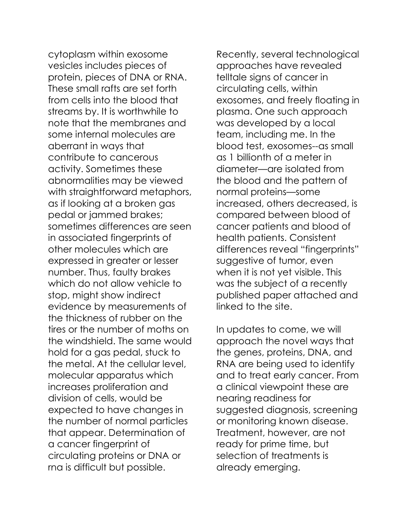cytoplasm within exosome vesicles includes pieces of protein, pieces of DNA or RNA. These small rafts are set forth from cells into the blood that streams by. It is worthwhile to note that the membranes and some internal molecules are aberrant in ways that contribute to cancerous activity. Sometimes these abnormalities may be viewed with straightforward metaphors, as if looking at a broken gas pedal or jammed brakes; sometimes differences are seen in associated fingerprints of other molecules which are expressed in greater or lesser number. Thus, faulty brakes which do not allow vehicle to stop, might show indirect evidence by measurements of the thickness of rubber on the tires or the number of moths on the windshield. The same would hold for a gas pedal, stuck to the metal. At the cellular level, molecular apparatus which increases proliferation and division of cells, would be expected to have changes in the number of normal particles that appear. Determination of a cancer fingerprint of circulating proteins or DNA or rna is difficult but possible.

Recently, several technological approaches have revealed telltale signs of cancer in circulating cells, within exosomes, and freely floating in plasma. One such approach was developed by a local team, including me. In the blood test, exosomes--as small as 1 billionth of a meter in diameter—are isolated from the blood and the pattern of normal proteins—some increased, others decreased, is compared between blood of cancer patients and blood of health patients. Consistent differences reveal "fingerprints" suggestive of tumor, even when it is not yet visible. This was the subject of a recently published paper attached and linked to the site.

In updates to come, we will approach the novel ways that the genes, proteins, DNA, and RNA are being used to identify and to treat early cancer. From a clinical viewpoint these are nearing readiness for suggested diagnosis, screening or monitoring known disease. Treatment, however, are not ready for prime time, but selection of treatments is already emerging.